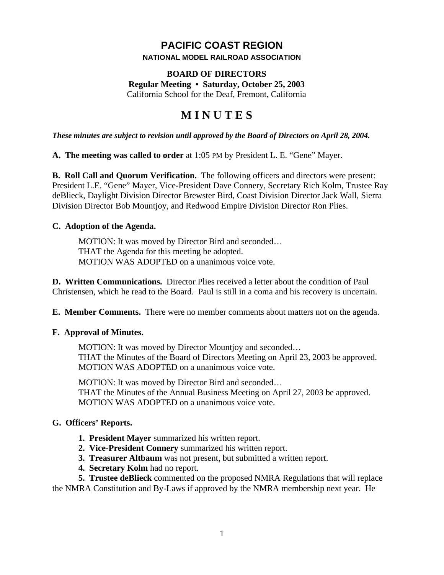# **PACIFIC COAST REGION NATIONAL MODEL RAILROAD ASSOCIATION**

# **BOARD OF DIRECTORS Regular Meeting • Saturday, October 25, 2003** California School for the Deaf, Fremont, California

# **M I N U T E S**

*These minutes are subject to revision until approved by the Board of Directors on April 28, 2004.*

**A. The meeting was called to order** at 1:05 PM by President L. E. "Gene" Mayer.

**B. Roll Call and Quorum Verification.** The following officers and directors were present: President L.E. "Gene" Mayer, Vice-President Dave Connery, Secretary Rich Kolm, Trustee Ray deBlieck, Daylight Division Director Brewster Bird, Coast Division Director Jack Wall, Sierra Division Director Bob Mountjoy, and Redwood Empire Division Director Ron Plies.

# **C. Adoption of the Agenda.**

MOTION: It was moved by Director Bird and seconded… THAT the Agenda for this meeting be adopted. MOTION WAS ADOPTED on a unanimous voice vote.

**D. Written Communications.** Director Plies received a letter about the condition of Paul Christensen, which he read to the Board. Paul is still in a coma and his recovery is uncertain.

**E. Member Comments.** There were no member comments about matters not on the agenda.

# **F. Approval of Minutes.**

MOTION: It was moved by Director Mountjoy and seconded… THAT the Minutes of the Board of Directors Meeting on April 23, 2003 be approved. MOTION WAS ADOPTED on a unanimous voice vote.

MOTION: It was moved by Director Bird and seconded… THAT the Minutes of the Annual Business Meeting on April 27, 2003 be approved. MOTION WAS ADOPTED on a unanimous voice vote.

#### **G. Officers' Reports.**

- **1. President Mayer** summarized his written report.
- **2. Vice-President Connery** summarized his written report.
- **3. Treasurer Altbaum** was not present, but submitted a written report.
- **4. Secretary Kolm** had no report.
- **5. Trustee deBlieck** commented on the proposed NMRA Regulations that will replace

the NMRA Constitution and By-Laws if approved by the NMRA membership next year. He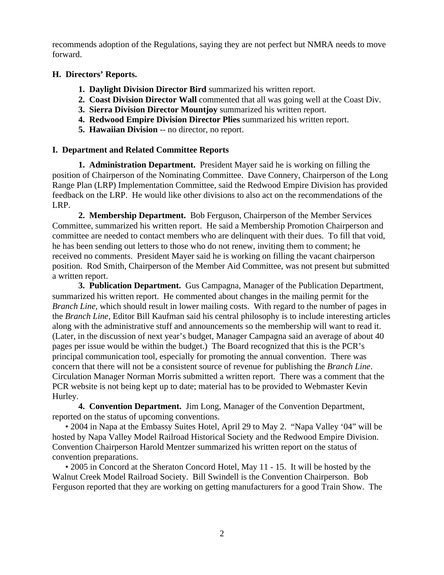recommends adoption of the Regulations, saying they are not perfect but NMRA needs to move forward.

#### **H. Directors' Reports.**

- **1. Daylight Division Director Bird** summarized his written report.
- **2. Coast Division Director Wall** commented that all was going well at the Coast Div.
- **3. Sierra Division Director Mountjoy** summarized his written report.
- **4. Redwood Empire Division Director Plies** summarized his written report.
- **5. Hawaiian Division** -- no director, no report.

#### **I. Department and Related Committee Reports**

**1. Administration Department.** President Mayer said he is working on filling the position of Chairperson of the Nominating Committee. Dave Connery, Chairperson of the Long Range Plan (LRP) Implementation Committee, said the Redwood Empire Division has provided feedback on the LRP. He would like other divisions to also act on the recommendations of the LRP.

**2. Membership Department.** Bob Ferguson, Chairperson of the Member Services Committee, summarized his written report. He said a Membership Promotion Chairperson and committee are needed to contact members who are delinquent with their dues. To fill that void, he has been sending out letters to those who do not renew, inviting them to comment; he received no comments. President Mayer said he is working on filling the vacant chairperson position. Rod Smith, Chairperson of the Member Aid Committee, was not present but submitted a written report.

**3. Publication Department.** Gus Campagna, Manager of the Publication Department, summarized his written report. He commented about changes in the mailing permit for the *Branch Line*, which should result in lower mailing costs. With regard to the number of pages in the *Branch Line*, Editor Bill Kaufman said his central philosophy is to include interesting articles along with the administrative stuff and announcements so the membership will want to read it. (Later, in the discussion of next year's budget, Manager Campagna said an average of about 40 pages per issue would be within the budget.) The Board recognized that this is the PCR's principal communication tool, especially for promoting the annual convention. There was concern that there will not be a consistent source of revenue for publishing the *Branch Line*. Circulation Manager Norman Morris submitted a written report. There was a comment that the PCR website is not being kept up to date; material has to be provided to Webmaster Kevin Hurley.

**4. Convention Department.** Jim Long, Manager of the Convention Department, reported on the status of upcoming conventions.

• 2004 in Napa at the Embassy Suites Hotel, April 29 to May 2. "Napa Valley '04" will be hosted by Napa Valley Model Railroad Historical Society and the Redwood Empire Division. Convention Chairperson Harold Mentzer summarized his written report on the status of convention preparations.

• 2005 in Concord at the Sheraton Concord Hotel, May 11 - 15. It will be hosted by the Walnut Creek Model Railroad Society. Bill Swindell is the Convention Chairperson. Bob Ferguson reported that they are working on getting manufacturers for a good Train Show. The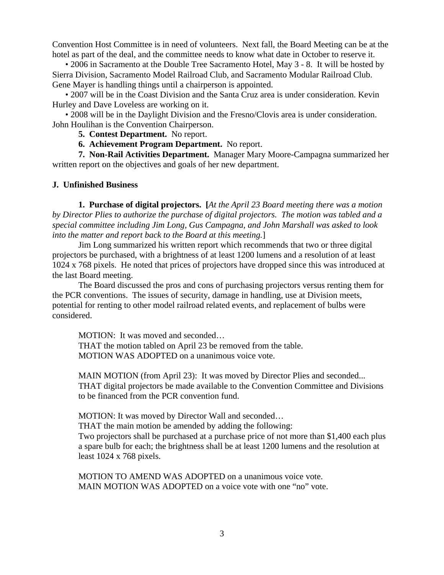Convention Host Committee is in need of volunteers. Next fall, the Board Meeting can be at the hotel as part of the deal, and the committee needs to know what date in October to reserve it.

• 2006 in Sacramento at the Double Tree Sacramento Hotel, May 3 - 8. It will be hosted by Sierra Division, Sacramento Model Railroad Club, and Sacramento Modular Railroad Club. Gene Mayer is handling things until a chairperson is appointed.

• 2007 will be in the Coast Division and the Santa Cruz area is under consideration. Kevin Hurley and Dave Loveless are working on it.

• 2008 will be in the Daylight Division and the Fresno/Clovis area is under consideration. John Houlihan is the Convention Chairperson.

**5. Contest Department.** No report.

**6. Achievement Program Department.** No report.

**7. Non-Rail Activities Department.** Manager Mary Moore-Campagna summarized her written report on the objectives and goals of her new department.

#### **J. Unfinished Business**

**1. Purchase of digital projectors. [***At the April 23 Board meeting there was a motion by Director Plies to authorize the purchase of digital projectors. The motion was tabled and a special committee including Jim Long, Gus Campagna, and John Marshall was asked to look into the matter and report back to the Board at this meeting.*]

Jim Long summarized his written report which recommends that two or three digital projectors be purchased, with a brightness of at least 1200 lumens and a resolution of at least 1024 x 768 pixels. He noted that prices of projectors have dropped since this was introduced at the last Board meeting.

The Board discussed the pros and cons of purchasing projectors versus renting them for the PCR conventions. The issues of security, damage in handling, use at Division meets, potential for renting to other model railroad related events, and replacement of bulbs were considered.

MOTION: It was moved and seconded… THAT the motion tabled on April 23 be removed from the table. MOTION WAS ADOPTED on a unanimous voice vote.

MAIN MOTION (from April 23): It was moved by Director Plies and seconded... THAT digital projectors be made available to the Convention Committee and Divisions to be financed from the PCR convention fund.

MOTION: It was moved by Director Wall and seconded…

THAT the main motion be amended by adding the following:

Two projectors shall be purchased at a purchase price of not more than \$1,400 each plus a spare bulb for each; the brightness shall be at least 1200 lumens and the resolution at least 1024 x 768 pixels.

MOTION TO AMEND WAS ADOPTED on a unanimous voice vote. MAIN MOTION WAS ADOPTED on a voice vote with one "no" vote.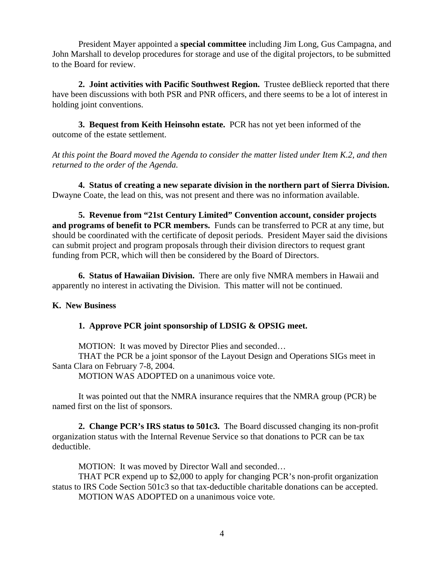President Mayer appointed a **special committee** including Jim Long, Gus Campagna, and John Marshall to develop procedures for storage and use of the digital projectors, to be submitted to the Board for review.

**2. Joint activities with Pacific Southwest Region.** Trustee deBlieck reported that there have been discussions with both PSR and PNR officers, and there seems to be a lot of interest in holding joint conventions.

**3. Bequest from Keith Heinsohn estate.** PCR has not yet been informed of the outcome of the estate settlement.

*At this point the Board moved the Agenda to consider the matter listed under Item K.2, and then returned to the order of the Agenda.*

**4. Status of creating a new separate division in the northern part of Sierra Division.** Dwayne Coate, the lead on this, was not present and there was no information available.

**5. Revenue from "21st Century Limited" Convention account, consider projects and programs of benefit to PCR members.** Funds can be transferred to PCR at any time, but should be coordinated with the certificate of deposit periods. President Mayer said the divisions can submit project and program proposals through their division directors to request grant funding from PCR, which will then be considered by the Board of Directors.

**6. Status of Hawaiian Division.** There are only five NMRA members in Hawaii and apparently no interest in activating the Division. This matter will not be continued.

# **K. New Business**

# **1. Approve PCR joint sponsorship of LDSIG & OPSIG meet.**

MOTION: It was moved by Director Plies and seconded…

THAT the PCR be a joint sponsor of the Layout Design and Operations SIGs meet in Santa Clara on February 7-8, 2004.

MOTION WAS ADOPTED on a unanimous voice vote.

It was pointed out that the NMRA insurance requires that the NMRA group (PCR) be named first on the list of sponsors.

**2. Change PCR's IRS status to 501c3.** The Board discussed changing its non-profit organization status with the Internal Revenue Service so that donations to PCR can be tax deductible.

MOTION: It was moved by Director Wall and seconded…

THAT PCR expend up to \$2,000 to apply for changing PCR's non-profit organization status to IRS Code Section 501c3 so that tax-deductible charitable donations can be accepted. MOTION WAS ADOPTED on a unanimous voice vote.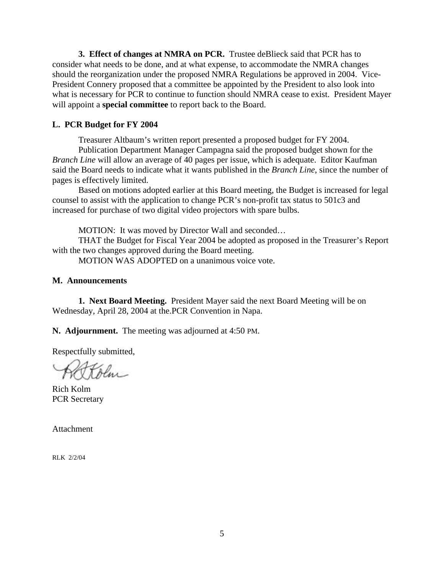**3. Effect of changes at NMRA on PCR.** Trustee deBlieck said that PCR has to consider what needs to be done, and at what expense, to accommodate the NMRA changes should the reorganization under the proposed NMRA Regulations be approved in 2004. Vice-President Connery proposed that a committee be appointed by the President to also look into what is necessary for PCR to continue to function should NMRA cease to exist. President Mayer will appoint a **special committee** to report back to the Board.

#### **L. PCR Budget for FY 2004**

Treasurer Altbaum's written report presented a proposed budget for FY 2004.

Publication Department Manager Campagna said the proposed budget shown for the *Branch Line* will allow an average of 40 pages per issue, which is adequate. Editor Kaufman said the Board needs to indicate what it wants published in the *Branch Line*, since the number of pages is effectively limited.

Based on motions adopted earlier at this Board meeting, the Budget is increased for legal counsel to assist with the application to change PCR's non-profit tax status to 501c3 and increased for purchase of two digital video projectors with spare bulbs.

MOTION: It was moved by Director Wall and seconded…

THAT the Budget for Fiscal Year 2004 be adopted as proposed in the Treasurer's Report with the two changes approved during the Board meeting.

MOTION WAS ADOPTED on a unanimous voice vote.

#### **M. Announcements**

**1. Next Board Meeting.** President Mayer said the next Board Meeting will be on Wednesday, April 28, 2004 at the.PCR Convention in Napa.

**N. Adjournment.** The meeting was adjourned at 4:50 PM.

Respectfully submitted,

Alm

Rich Kolm PCR Secretary

Attachment

RLK 2/2/04